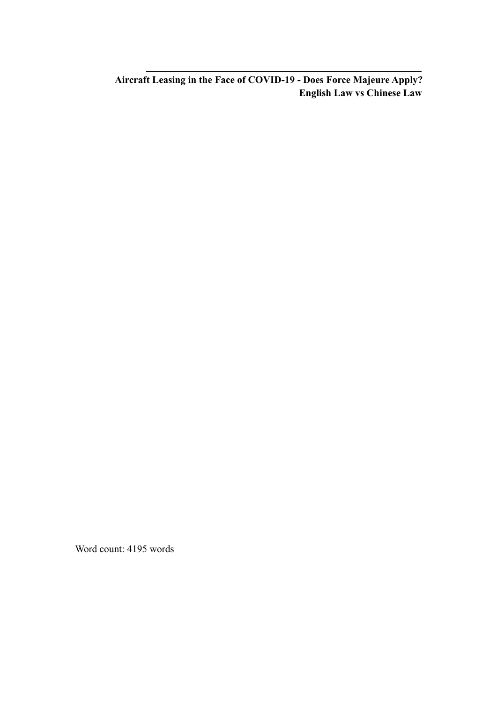**Aircraft Leasing in the Face of COVID-19 - Does Force Majeure Apply? English Law vs Chinese Law**

Word count: 4195 words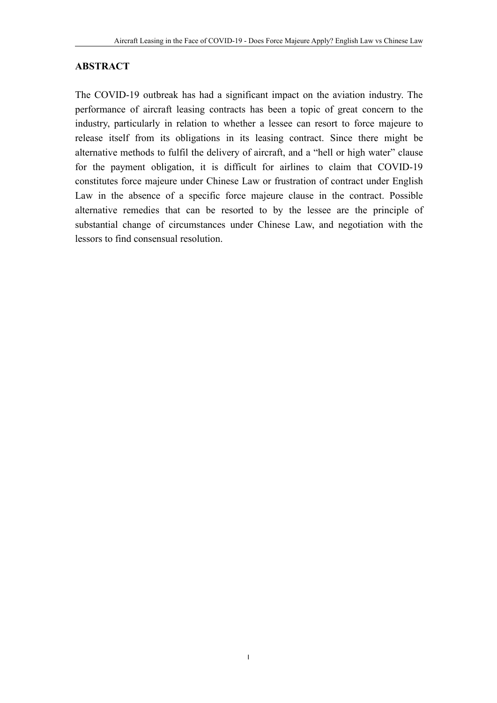## **ABSTRACT**

The COVID-19 outbreak has had a significant impact on the aviation industry. The performance of aircraft leasing contracts has been a topic of great concern to the industry, particularly in relation to whether a lessee can resort to force majeure to release itself from its obligations in its leasing contract. Since there might be alternative methods to fulfil the delivery of aircraft, and a "hell or high water" clause for the payment obligation, it is difficult for airlines to claim that COVID-19 constitutes force majeure under Chinese Law or frustration of contract under English Law in the absence of a specific force majeure clause in the contract. Possible alternative remedies that can be resorted to by the lessee are the principle of substantial change of circumstances under Chinese Law, and negotiation with the lessors to find consensual resolution.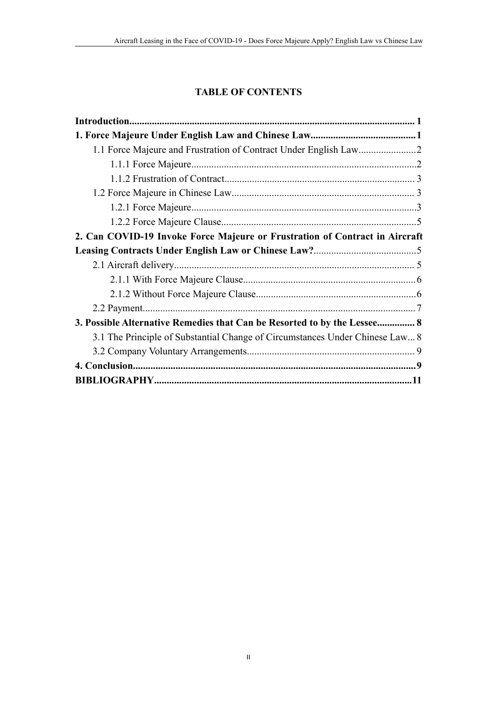# **TABLE OF CONTENTS**

| 2. Can COVID-19 Invoke Force Majeure or Frustration of Contract in Aircraft  |
|------------------------------------------------------------------------------|
|                                                                              |
|                                                                              |
|                                                                              |
|                                                                              |
|                                                                              |
| 3. Possible Alternative Remedies that Can be Resorted to by the Lessee 8     |
| 3.1 The Principle of Substantial Change of Circumstances Under Chinese Law 8 |
|                                                                              |
|                                                                              |
|                                                                              |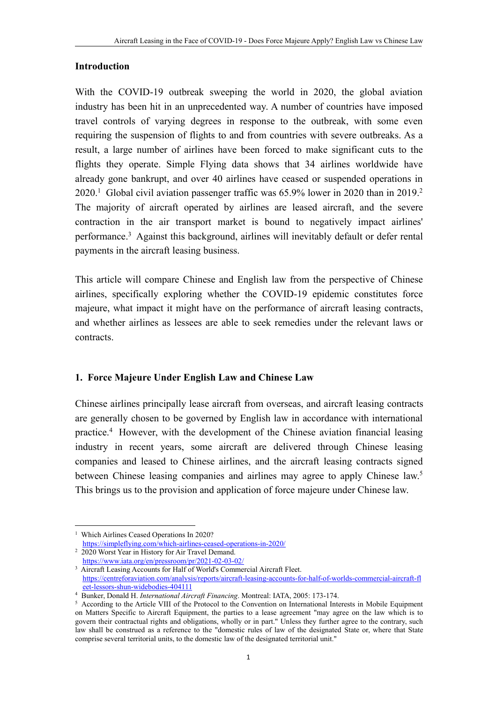#### **Introduction**

With the COVID-19 outbreak sweeping the world in 2020, the global aviation industry has been hit in an unprecedented way. A number of countries have imposed travel controls of varying degrees in response to the outbreak, with some even requiring the suspension of flights to and from countries with severe outbreaks. As a result, a large number of airlines have been forced to make significant cuts to the flights they operate. Simple Flying data shows that 34 airlines worldwide have already gone bankrupt, and over 40 airlines have ceased or suspended operations in  $2020<sup>1</sup>$  Global civil aviation passenger traffic was 65.9% lower in 2020 than in 2019.<sup>2</sup> The majority of aircraft operated by airlines are leased aircraft, and the severe contraction in the air transport market is bound to negatively impact airlines' performance.<sup>3</sup> Against this background, airlines will inevitably default or defer rental payments in the aircraft leasing business.

This article will compare Chinese and English law from the perspective of Chinese airlines, specifically exploring whether the COVID-19 epidemic constitutes force majeure, what impact it might have on the performance of aircraft leasing contracts, and whether airlines as lessees are able to seek remedies under the relevant laws or contracts.

## **1. Force Majeure Under English Law and Chinese Law**

Chinese airlines principally lease aircraft from overseas, and aircraft leasing contracts are generally chosen to be governed by English law in accordance with international practice.<sup>4</sup> However, with the development of the Chinese aviation financial leasing industry in recent years, some aircraft are delivered through Chinese leasing companies and leased to Chinese airlines, and the aircraft leasing contracts signed between Chinese leasing companies and airlines may agree to apply Chinese law.<sup>5</sup> This brings us to the provision and application of force majeure under Chinese law.

<sup>&</sup>lt;sup>1</sup> Which Airlines Ceased Operations In 2020?

https://simpleflying.com/which-airlines-ceased-operations-in-2020/

<sup>&</sup>lt;sup>2</sup> 2020 Worst Year in History for Air Travel Demand.

https://www.iata.org/en/pressroom/pr/2021-02-03-02/ <sup>3</sup> Aircraft Leasing Accounts for Half of World's Commercial Aircraft Fleet.

https://centreforaviation.com/analysis/reports/aircraft-leasing-accounts-for-half-of-worlds-commercial-aircraft-fl eet-lessors-shun-widebodies-404111

<sup>4</sup> Bunker, Donald H. *International Aircraft Financing*. Montreal: IATA, 2005: 173-174.

<sup>&</sup>lt;sup>5</sup> According to the Article VIII of the Protocol to the Convention on International Interests in Mobile Equipment on Matters Specific to Aircraft Equipment, the parties to a lease agreement "may agree on the law which is to govern their contractual rights and obligations, wholly or in part." Unless they further agree to the contrary, such law shall be construed as a reference to the "domestic rules of law of the designated State or, where that State comprise several territorial units, to the domestic law of the designated territorial unit."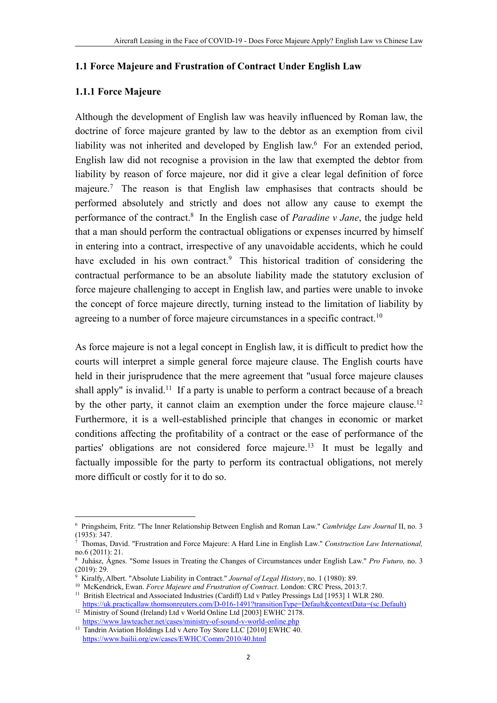#### **1.1 Force Majeure and Frustration of Contract Under English Law**

#### **1.1.1 Force Majeure**

Although the development of English law was heavily influenced by Roman law, the doctrine of force majeure granted by law to the debtor as an exemption from civil liability was not inherited and developed by English law.<sup>6</sup> For an extended period, English law did not recognise a provision in the law that exempted the debtor from liability by reason of force majeure, nor did it give a clear legal definition of force majeure.<sup>7</sup> The reason is that English law emphasises that contracts should be performed absolutely and strictly and does notallow any cause to exempt the performance of the contract.<sup>8</sup> In the English case of*Paradine v Jane*, the judge held that a man should perform the contractual obligations or expenses incurred by himself in entering into a contract, irrespective of any unavoidable accidents, which he could have excluded in his own contract.<sup>9</sup> This historical tradition of considering the contractual performance to be an absolute liability made the statutory exclusion of force majeure challenging to accept in English law, and parties were unable to invoke the concept of force majeure directly, turning instead to the limitation of liability by agreeing to a number of force majeure circumstances in a specific contract.<sup>10</sup>

As force majeure is not a legal concept in English law, it is difficult to predict how the courts will interpret a simple general force majeure clause. The English courts have held in their jurisprudence that the mere agreement that "usual force majeure clauses shall apply" is invalid.<sup>11</sup> If a party is unable to perform a contract because of a breach by the other party, it cannot claim an exemption under the force majeure clause.<sup>12</sup> Furthermore, it is a well-established principle that changes in economic or market conditions affecting the profitability of a contract or the ease of performance of the parties' obligations are not considered force majeure.<sup>13</sup> It must be legally and factually impossible for the party to perform its contractual obligations, not merely more difficult or costly for it to do so.

<sup>6</sup> Pringsheim, Fritz. "The Inner Relationship Between English and Roman Law." *Cambridge Law Journal* II, no. 3 (1935): 347.

<sup>7</sup> Thomas, David. "Frustration and Force Majeure: A Hard Line in English Law." *Construction Law International,* no.6 (2011): 21.

<sup>8</sup> Juhász, Ágnes. "Some Issues in Treating the Changes of Circumstances under English Law." *Pro Futuro,* no. 3 (2019): 29.

<sup>9</sup> Kiralfy, Albert. "Absolute Liability in Contract." *Journal of Legal History*, no. 1 (1980): 89.

<sup>10</sup> McKendrick, Ewan. *Force Majeure and Frustration of Contract*. London: CRC Press, 2013:7.

<sup>&</sup>lt;sup>11</sup> British Electrical and Associated Industries (Cardiff) Ltd v Patley Pressings Ltd [1953] 1 WLR 280. https://uk.practicallaw.thomsonreuters.com/D-016-1491?transitionType=Default&contextData=(sc.Default)

<sup>&</sup>lt;sup>12</sup> Ministry of Sound (Ireland) Ltd v World Online Ltd [2003] EWHC 2178. https://www.lawteacher.net/cases/ministry-of-sound-v-world-online.php

<sup>&</sup>lt;sup>13</sup> Tandrin Aviation Holdings Ltd v Aero Toy Store LLC [2010] EWHC 40. https://www.bailii.org/ew/cases/EWHC/Comm/2010/40.html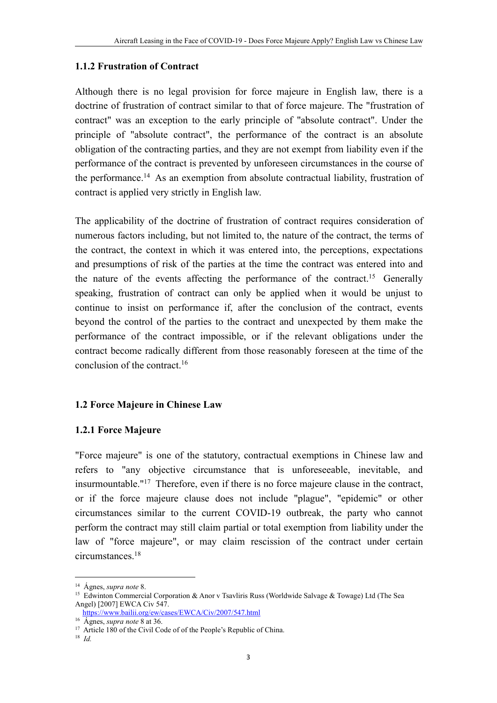### **1.1.2 Frustration of Contract**

Although there is no legal provision for force majeure in English law, there is a doctrine of frustration of contract similar to that of force majeure. The "frustration of contract" was an exception to the early principle of "absolute contract". Under the principle of "absolute contract", the performance of the contract is an absolute obligation of the contracting parties, and they are not exempt from liability even if the performance of the contract is prevented by unforeseen circumstances in the course of the performance.<sup>14</sup> As an exemption from absolute contractual liability, frustration of contract is applied very strictly in English law.

The applicability of the doctrine of frustration of contract requires consideration of numerous factors including, but not limited to, the nature of the contract, the terms of the contract, the context in which it was entered into, the perceptions, expectations and presumptions of risk of the parties at the time the contract was entered into and the nature of the events affecting the performance of the contract.<sup>15</sup> Generally speaking, frustration of contract can only be applied when it would be unjust to continue to insist on performance if, after the conclusion of the contract, events beyond the control of the parties to the contract and unexpected by them make the performance of the contract impossible, or if the relevant obligations under the contract become radically different from those reasonably foreseen at the time of the conclusion of the contract.<sup>16</sup>

## **1.2 Force Majeure in Chinese Law**

## **1.2.1 Force Majeure**

"Force majeure" is one of the statutory, contractual exemptions in Chinese law and refers to "any objective circumstance that is unforeseeable, inevitable, and insurmountable." <sup>17</sup> Therefore, even if there is no force majeure clause in the contract, or if the force majeure clause does not include "plague", "epidemic" orother circumstances similar to the current COVID-19 outbreak, the party who cannot perform the contract may still claim partial or total exemption from liability under the law of "force majeure", or may claim rescission of the contract under certain circumstances.<sup>18</sup>

<sup>14</sup> Ágnes, *supra note* 8.

<sup>&</sup>lt;sup>15</sup> Edwinton Commercial Corporation & Anor v Tsavliris Russ (Worldwide Salvage & Towage) Ltd (The Sea Angel) [2007] EWCA Civ 547.

https://www.bailii.org/ew/cases/EWCA/Civ/2007/547.html

<sup>16</sup> Ágnes, *supra note* 8 at 36.

<sup>&</sup>lt;sup>17</sup> Article 180 of the Civil Code of of the People's Republic of China.

<sup>18</sup> *Id.*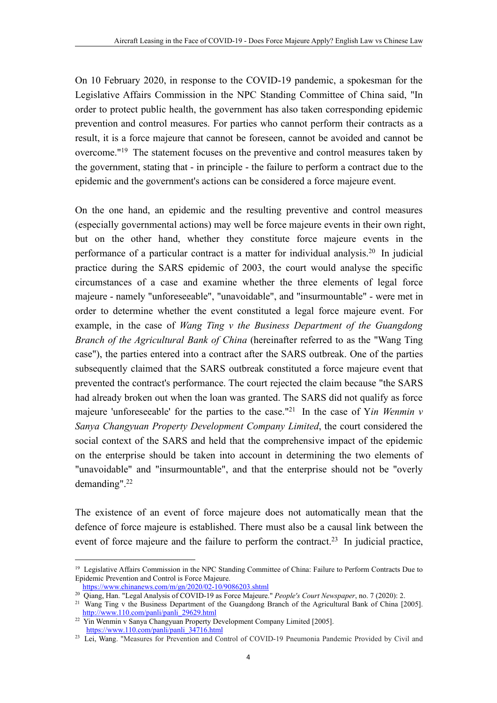On 10 February 2020, in response to the COVID-19 pandemic, a spokesman for the Legislative Affairs Commission in the NPC Standing Committee of China said, "In order to protect public health, the government has also taken corresponding epidemic prevention and control measures. For parties who cannot perform their contracts as a result, it is a force majeure that cannot be foreseen, cannot be avoided and cannot be overcome." <sup>19</sup> The statement focuses on the preventive and control measures taken by the government, stating that - in principle - the failure to perform a contract due to the epidemic and the government's actions can be considered a force majeure event.

On the one hand, an epidemic and the resulting preventive and control measures (especially governmental actions) may well be force majeure events in their own right, but on the other hand, whether they constitute force majeure events in the performance of a particular contract is a matter for individual analysis.<sup>20</sup> In judicial practice during the SARS epidemic of 2003, the court would analyse the specific circumstances of a case and examine whether the three elements of legal force majeure - namely "unforeseeable", "unavoidable", and "insurmountable" - were met in order to determine whether the event constituted a legal force majeure event. For example, in the case of *Wang Ting v the Business Department of the Guangdong Branch of the Agricultural Bank of China* (hereinafter referred to as the "Wang Ting case"), the parties entered into a contractafter the SARS outbreak. One of the parties subsequently claimed that the SARS outbreak constituted a force majeure event that prevented the contract's performance. The court rejected the claim because "the SARS had already broken out when the loan was granted. The SARS did not qualify as force majeure 'unforeseeable' for the parties to the case." <sup>21</sup> In the case of Y*in Wenmin v Sanya Changyuan Property Development Company Limited, the court considered the* social context of the SARS and held that the comprehensive impact of the epidemic on the enterprise should be taken into account in determining the two elements of "unavoidable" and "insurmountable", and that the enterprise should not be "overly demanding".<sup>22</sup>

The existence of an event of force majeure does not automatically mean that the defence of force majeure is established. There must also be a causal link between the event of force majeure and the failure to perform the contract.<sup>23</sup> In judicial practice,

<sup>&</sup>lt;sup>19</sup> Legislative Affairs Commission in the NPC Standing Committee of China: Failure to Perform Contracts Due to Epidemic Prevention and Control is Force Majeure.

https://www.chinanews.com/m/gn/2020/02-10/9086203.shtml

<sup>&</sup>lt;sup>20</sup> Oiang, Han. "Legal Analysis of COVID-19 as Force Majeure." *People's Court Newspaper*, no. 7 (2020): 2.

<sup>&</sup>lt;sup>21</sup> Wang Ting v the Business Department of the Guangdong Branch of the Agricultural Bank of China [2005]. http://www.110.com/panli/panli\_29629.html

<sup>&</sup>lt;sup>22</sup> Yin Wenmin v Sanya Changyuan Property Development Company Limited [2005]. https://www.110.com/panli/panli\_34716.html

<sup>&</sup>lt;sup>23</sup> Lei, Wang. "Measures for Prevention and Control of COVID-19 Pneumonia Pandemic Provided by Civil and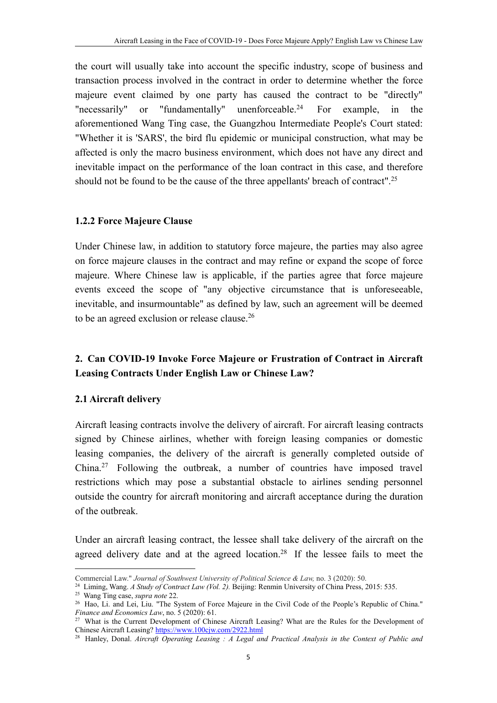the court will usually take into account the specific industry, scope of business and transaction process involved in the contract in order to determine whether the force majeure event claimed by one party has caused the contract to be "directly" "necessarily" or "fundamentally" unenforceable.<sup>24</sup> For example, in the aforementioned Wang Ting case, the Guangzhou Intermediate People's Court stated: "Whether it is 'SARS', the bird flu epidemic or municipal construction, what may be affected is only the macro business environment, which does not have any direct and inevitable impact on the performance of the loan contract in this case, and therefore should not be found to be the cause of the three appellants' breach of contract".<sup>25</sup>

### **1.2.2 Force Majeure Clause**

Under Chinese law, in addition to statutory force majeure, the parties may also agree on force majeure clauses in the contract and may refine or expand the scope of force majeure. Where Chinese law is applicable, if the parties agree that force majeure events exceed the scope of "any objective circumstance that is unforeseeable, inevitable, and insurmountable" as defined by law, such an agreement will be deemed to be an agreed exclusion or release clause.<sup>26</sup>

# **2. Can COVID-19 Invoke Force Majeure or Frustration of Contract in Aircraft Leasing Contracts Under English Law or Chinese Law?**

#### **2.1 Aircraft delivery**

Aircraft leasing contracts involve the delivery of aircraft. For aircraft leasing contracts signed by Chinese airlines, whether with foreign leasing companies or domestic leasing companies, the delivery of the aircraft is generally completed outside of China.<sup>27</sup> Following the outbreak, a number of countries have imposed travel restrictions which may pose a substantial obstacle to airlines sending personnel outside the country for aircraft monitoring and aircraft acceptance during the duration of the outbreak.

Under an aircraft leasing contract, the lessee shall take delivery of the aircraft on the agreed delivery date and at the agreed location.<sup>28</sup> If the lessee fails to meet the

Commercial Law." *Journal of Southwest University of Political Science & Law,* no. 3 (2020): 50.

<sup>24</sup> Liming, Wang. *A Study of Contract Law (Vol. 2).* Beijing: Renmin University of China Press, 2015: 535.

<sup>25</sup> Wang Ting case, *supra note* 22.

<sup>&</sup>lt;sup>26</sup> Hao, Li. and Lei, Liu. "The System of Force Majeure in the Civil Code of the People's Republic of China." *Finance and Economics Law*, no. 5 (2020): 61.

<sup>&</sup>lt;sup>27</sup> What is the Current Development of Chinese Aircraft Leasing? What are the Rules for the Development of Chinese Aircraft Leasing? https://www.100cjw.com/2922.html

<sup>28</sup> Hanley, Donal. *Aircraft Operating Leasing : A Legal and Practical Analysis in the Context of Public and*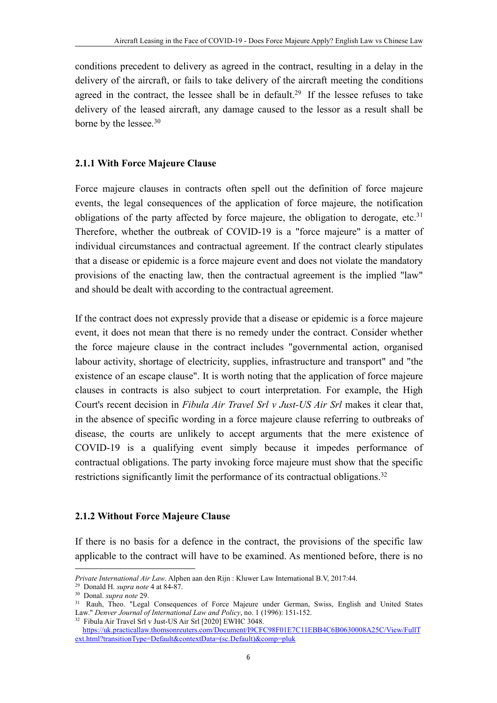conditions precedent to delivery as agreed in the contract, resulting in a delay in the delivery of the aircraft, or fails to take delivery of the aircraft meeting the conditions agreed in the contract, the lessee shall be in default.<sup>29</sup> If the lessee refuses to take delivery of the leased aircraft, any damage caused to the lessor as a result shall be borne by the lessee.<sup>30</sup>

#### **2.1.1 With Force Majeure Clause**

Force majeure clauses in contracts often spell out the definition of force majeure events, the legal consequences of the application of force majeure, the notification obligations of the party affected by force majeure, the obligation to derogate, etc.<sup>31</sup> Therefore, whether the outbreak of COVID-19 is a "force majeure" is a matter of individual circumstances and contractual agreement. If the contract clearly stipulates that a disease or epidemic is a force majeure event and doesnot violate the mandatory provisions of the enacting law, then the contractual agreement is the implied "law" and should be dealt with according to the contractual agreement.

If the contract does not expressly provide that a disease or epidemic is a force majeure event, it does not mean that there is no remedy under the contract. Consider whether the force majeure clause in the contract includes "governmental action, organised labour activity, shortage of electricity, supplies, infrastructure and transport" and "the existence of an escape clause". It is worth noting that the application of force majeure clauses in contracts is also subject to court interpretation. For example, the High Court's recent decision in *Fibula Air Travel Srl v Just-US Air Srl* makes it clear that, in the absence of specific wording in a force majeure clause referring to outbreaks of disease, the courts are unlikely to accept arguments that the mere existence of COVID-19 is a qualifying event simply because it impedes performance of contractual obligations. The party invoking force majeure must show that the specific restrictions significantly limit the performance of its contractual obligations.<sup>32</sup>

#### **2.1.2 Without Force Majeure Clause**

If there is no basis for a defence in the contract, the provisions of the specific law applicable to the contract will have to be examined. As mentioned before, there is no

*Private International Air Law*. Alphen aan den Rijn :Kluwer Law International B.V, 2017:44.

<sup>29</sup> Donald H. *supra note* 4 at 84-87.

<sup>30</sup> Donal. *supra note* 29.

<sup>&</sup>lt;sup>31</sup> Rauh, Theo. "Legal Consequences of Force Majeure under German, Swiss, English and United States Law." *Denver Journal of International Law and Policy*, no. 1 (1996): 151-152.

<sup>32</sup> Fibula Air Travel Srl v Just-US Air Srl [2020] EWHC 3048. https://uk.practicallaw.thomsonreuters.com/Document/I9CFC98F01E7C11EBB4C6B0630008A25C/View/FullT ext.html?transitionType=Default&contextData=(sc.Default)&comp=pluk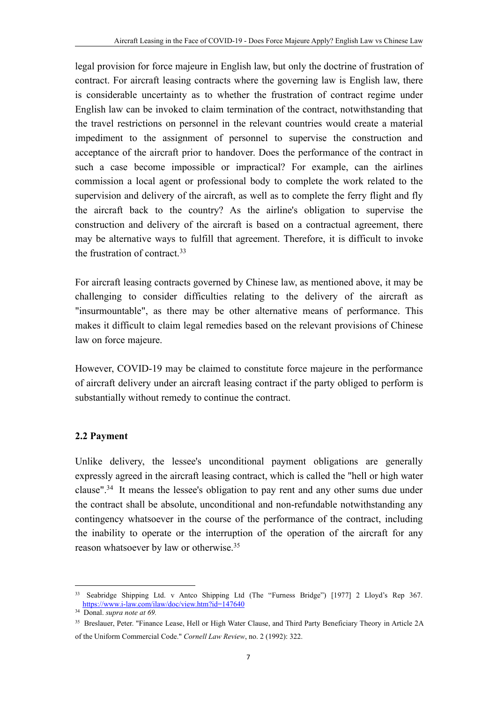legal provision for force majeure in English law, but only the doctrine of frustration of contract. For aircraft leasing contracts where the governing law is English law, there is considerable uncertainty as to whether the frustration of contract regime under English law can be invoked to claim termination of the contract, notwithstanding that the travel restrictions on personnelin the relevant countries would create a material impediment to the assignment of personnel to supervise the construction and acceptance of the aircraft prior to handover. Does the performance of the contract in such a case become impossible or impractical? For example, can the airlines commission a local agent or professional body to complete the work related to the supervision and delivery of the aircraft, as well as to complete the ferry flight and fly the aircraft back to the country? As the airline's obligation to supervise the construction and delivery of the aircraft is based on a contractual agreement, there may be alternative ways to fulfill that agreement. Therefore, it is difficult to invoke the frustration of contract.<sup>33</sup>

For aircraft leasing contracts governed by Chinese law, as mentioned above, it may be challenging to consider difficulties relating to the delivery of the aircraft as "insurmountable", as there may be other alternative means of performance. This makes it difficult to claim legal remedies based on the relevant provisions of Chinese law on force majeure.

However, COVID-19 may be claimed to constitute force majeure in the performance of aircraft delivery under an aircraft leasing contract if the party obliged to perform is substantially without remedy to continue the contract.

## **2.2 Payment**

Unlike delivery, the lessee's unconditional payment obligations are generally expressly agreed in the aircraft leasing contract, which is called the "hell or high water clause".<sup>34</sup> It means the lessee's obligation to pay rent and any other sums due under the contract shall be absolute, unconditional and non-refundable notwithstanding any contingency whatsoever in the course of the performance of the contract, including the inability to operate or the interruption of the operation of the aircraft for any reason whatsoever by law or otherwise.<sup>35</sup>

<sup>33</sup> Seabridge Shipping Ltd. v Antco Shipping Ltd (The "Furness Bridge") [1977] 2 Lloyd's Rep 367. https://www.i-law.com/ilaw/doc/view.htm?id=147640

<sup>34</sup> Donal. *supra note at 69.*

<sup>35</sup> Breslauer, Peter. "Finance Lease, Hell or High Water Clause, and Third Party Beneficiary Theory in Article 2A of the Uniform Commercial Code." *Cornell Law Review*, no. 2 (1992): 322.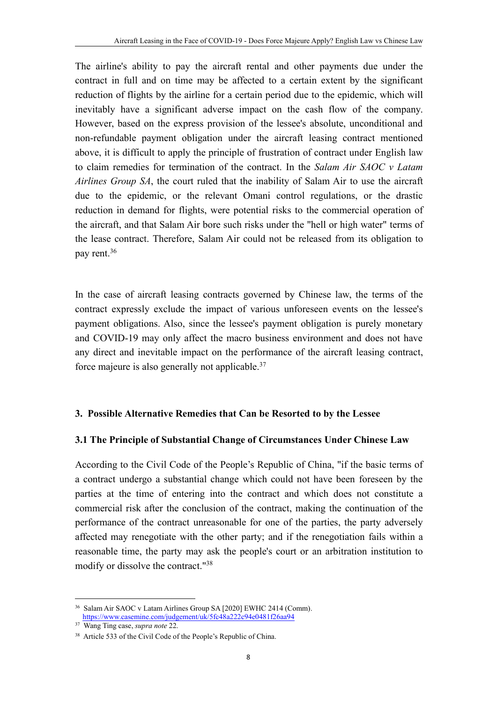The airline's ability to pay the aircraft rental and other payments due under the contract in full and on time may be affected to a certain extent by the significant reduction of flights by the airline for a certain period due to the epidemic, which will inevitably have a significant adverse impact on the cash flow of the company. However, based on the express provision of the lessee's absolute, unconditional and non-refundable payment obligation under the aircraft leasing contract mentioned above, it is difficult to apply the principle of frustration of contract under English law to claim remedies for termination of the contract. In the *Salam Air SAOC v Latam Airlines Group SA*, the court ruled that the inability of Salam Air to use the aircraft due to the epidemic, or the relevant Omani control regulations, or the drastic reduction in demand for flights, were potential risks to the commercial operation of the aircraft, and that Salam Air bore such risksunder the "hell or high water" terms of the lease contract. Therefore, Salam Air could not be released from its obligation to pay rent.<sup>36</sup>

In the case of aircraft leasing contracts governed by Chinese law, the terms of the contract expressly exclude the impact of various unforeseen events on the lessee's payment obligations. Also, since the lessee's payment obligation is purely monetary and COVID-19 may only affect the macro business environment and does not have any direct and inevitable impact on the performance of the aircraft leasing contract, force majeure is also generally not applicable.<sup>37</sup>

## **3. Possible Alternative Remedies that Can be Resorted to by the Lessee**

## **3.1 The Principle of Substantial Change of Circumstances Under Chinese Law**

According to the Civil Code of the People's Republic of China, "if the basic terms of a contract undergo a substantial change which could nothave been foreseen by the parties at the time of entering into the contract and which does not constitute a commercial risk after the conclusion of the contract, making the continuation of the performance of the contract unreasonable for one of the parties, the party adversely affected may renegotiate with the other party; and if the renegotiation failswithin a reasonable time, the party may ask the people's court or an arbitration institution to modify or dissolve the contract." 38

<sup>36</sup> Salam Air SAOC v Latam Airlines Group SA [2020] EWHC 2414 (Comm).

https://www.casemine.com/judgement/uk/5fc48a222c94e0481f26aa94

<sup>37</sup> Wang Ting case, *supra note* 22.

<sup>38</sup> Article 533 of the Civil Code of the People's Republic of China.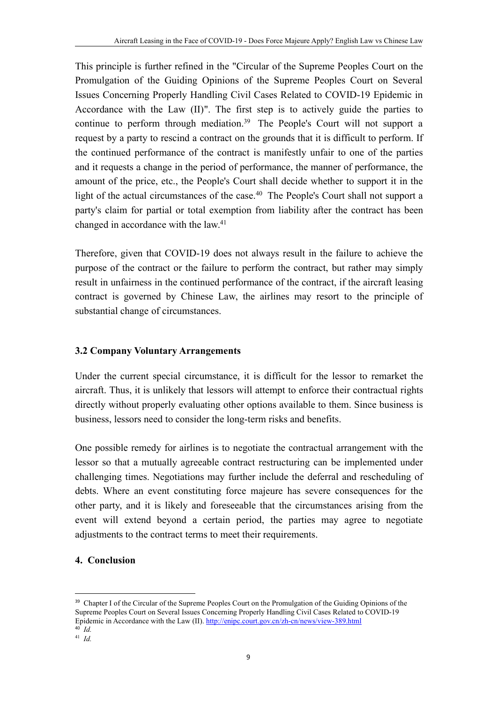This principle is further refined in the "Circular of the Supreme Peoples Court on the Promulgation of the Guiding Opinions of the Supreme Peoples Court on Several Issues Concerning Properly Handling Civil Cases Related to COVID-19 Epidemic in Accordance with the Law (II)". The first step is to actively guide the parties to continue to perform through mediation.<sup>39</sup> The People's Court will not support a request by a party to rescind a contract on the grounds that it is difficult to perform. If the continued performance of the contract is manifestly unfair to one of the parties and it requests a change in the period of performance, the manner of performance, the amount of the price, etc., the People's Court shall decide whether to support it in the light of the actual circumstances of the case.<sup>40</sup> The People's Court shall not support a party's claim for partial or total exemption from liability after the contract has been changed in accordance with the law.<sup>41</sup>

Therefore, given that COVID-19 does not always result in the failure to achieve the purpose of the contract or the failure to perform the contract, but rather may simply result in unfairness in the continued performance of the contract, if the aircraft leasing contract is governed by Chinese Law, the airlines may resort to the principle of substantial change of circumstances.

## **3.2 Company Voluntary Arrangements**

Under the current special circumstance, it is difficult for the lessor to remarket the aircraft. Thus, it is unlikely that lessors will attempt to enforce their contractual rights directly without properly evaluating other options available to them. Since business is business, lessors need to consider the long-term risks and benefits.

One possible remedy for airlines is to negotiate the contractual arrangement with the lessor so that a mutually agreeable contract restructuring can be implemented under challenging times. Negotiations may further include the deferral and rescheduling of debts. Where an event constituting force majeure has severe consequences for the other party, and it islikely and foreseeable that the circumstances arising from the event will extend beyond a certain period, the parties may agree to negotiate adjustments to the contract terms to meet their requirements.

## **4. Conclusion**

<sup>&</sup>lt;sup>39</sup> Chapter I of the Circular of the Supreme Peoples Court on the Promulgation of the Guiding Opinions of the Supreme Peoples Court on Several Issues Concerning Properly Handling Civil Cases Related to COVID-19 Epidemic in Accordance with the Law (II). http://enipc.court.gov.cn/zh-cn/news/view-389.html <sup>40</sup> *Id.*

<sup>41</sup> *Id.*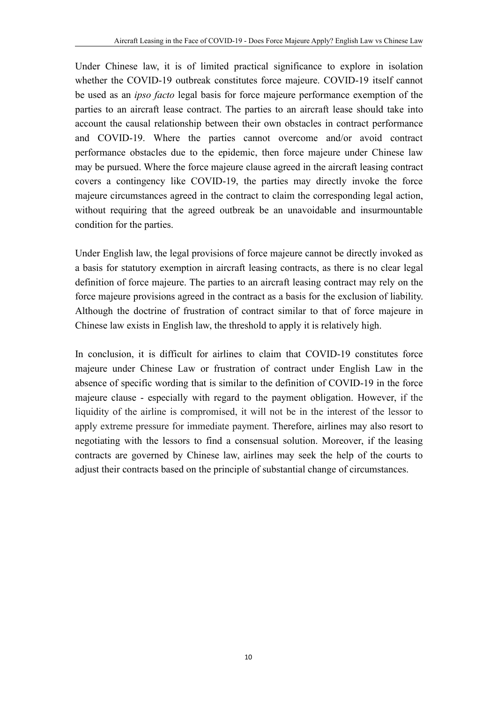Under Chinese law, it is of limited practical significance to explore in isolation whether the COVID-19 outbreak constitutes force majeure. COVID-19 itself cannot be used as an *ipso facto* legal basis for force majeure performance exemption of the parties to an aircraft lease contract. The parties to an aircraft lease should take into account the causal relationship between their own obstacles in contract performance and COVID-19. Where the parties cannot overcome and/or avoid contract performance obstacles due to the epidemic, then force majeure under Chinese law may be pursued. Where the force majeure clause agreed in the aircraft leasing contract covers a contingency like COVID-19, the parties may directly invoke the force majeure circumstances agreed in the contract to claim the corresponding legal action, without requiring that the agreed outbreak be an unavoidable and insurmountable condition for the parties.

Under English law, the legal provisions of force majeure cannot be directly invoked as a basis for statutory exemption in aircraft leasing contracts, as there is no clear legal definition of force majeure. The parties to an aircraft leasing contract may rely on the force majeure provisions agreed in the contract as a basis for the exclusion of liability. Although the doctrine of frustration of contract similar to that of force majeure in Chinese law exists in English law, the threshold to apply it is relatively high.

In conclusion, it is difficult for airlines to claim that COVID-19 constitutes force majeure under Chinese Law or frustration of contract under English Law in the absence of specific wording that is similar to the definition of COVID-19 in the force majeure clause - especially with regard to the payment obligation. However, if the liquidity of the airline is compromised, it will not be in the interest of the lessor to apply extreme pressure for immediate payment. Therefore, airlines may also resort to negotiating with the lessors to find a consensual solution. Moreover, if the leasing contracts are governed by Chinese law, airlines may seek the help of the courts to adjust their contracts based on the principle of substantial change of circumstances.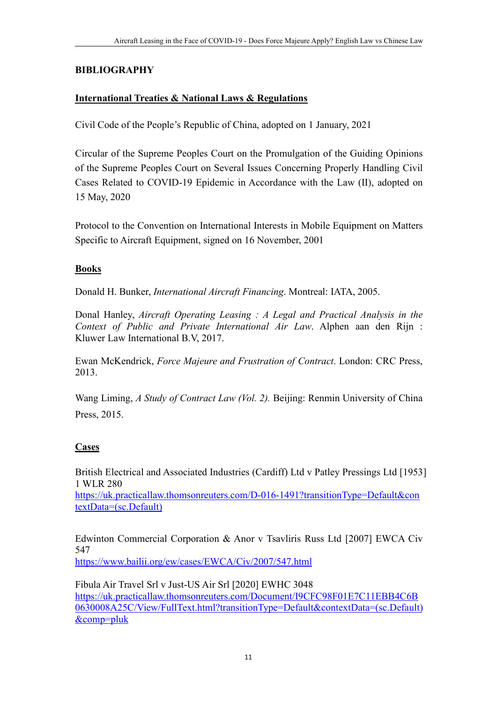## **BIBLIOGRAPHY**

## **International Treaties & National Laws & Regulations**

Civil Code of the People's Republic of China, adopted on 1 January, 2021

Circular of the Supreme Peoples Court on the Promulgation of the Guiding Opinions of the Supreme Peoples Court on Several Issues Concerning Properly Handling Civil Cases Related to COVID-19 Epidemic in Accordance with the Law (II), adopted on 15 May, 2020

Protocol to the Convention on International Interests in Mobile Equipment on Matters Specific to Aircraft Equipment, signed on 16 November, 2001

## **Books**

Donald H. Bunker, *International Aircraft Financing*. Montreal: IATA, 2005.

Donal Hanley, *Aircraft Operating Leasing : A Legal and Practical Analysis in the Context of Public and Private International Air Law*. Alphen aan den Rijn : Kluwer Law International B.V, 2017.

Ewan McKendrick, *Force Majeure and Frustration of Contract*. London: CRC Press, 2013.

Wang Liming, *A Study of Contract Law (Vol. 2).* Beijing: Renmin University of China Press, 2015.

## **Cases**

British Electrical and Associated Industries (Cardiff) Ltd v Patley Pressings Ltd [1953] 1 WLR 280

https://uk.practicallaw.thomsonreuters.com/D-016-1491?transitionType=Default&con textData=(sc.Default)

Edwinton Commercial Corporation & Anor v Tsavliris Russ Ltd [2007] EWCA Civ 547

https://www.bailii.org/ew/cases/EWCA/Civ/2007/547.html

Fibula Air Travel Srl v Just-US Air Srl [2020] EWHC 3048 https://uk.practicallaw.thomsonreuters.com/Document/I9CFC98F01E7C11EBB4C6B 0630008A25C/View/FullText.html?transitionType=Default&contextData=(sc.Default) &comp=pluk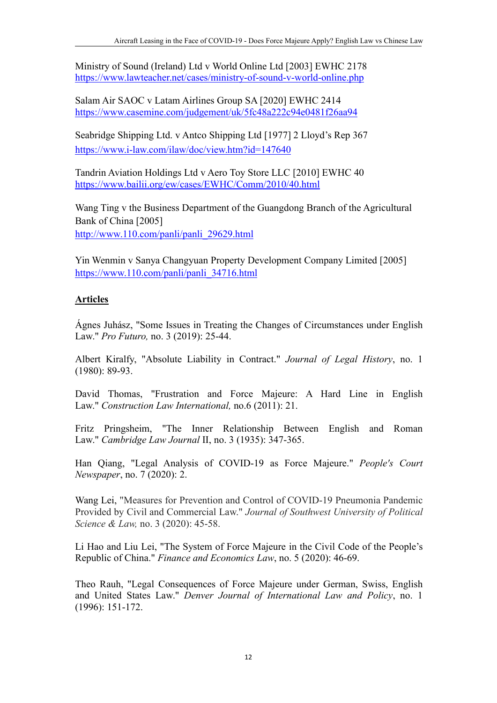Ministry of Sound (Ireland) Ltd v World Online Ltd [2003] EWHC 2178 https://www.lawteacher.net/cases/ministry-of-sound-v-world-online.php

Salam Air SAOC v Latam Airlines Group SA [2020] EWHC 2414 https://www.casemine.com/judgement/uk/5fc48a222c94e0481f26aa94

Seabridge Shipping Ltd. v Antco Shipping Ltd [1977] 2 Lloyd's Rep 367 https://www.i-law.com/ilaw/doc/view.htm?id=147640

Tandrin Aviation Holdings Ltd v Aero Toy Store LLC [2010] EWHC 40 https://www.bailii.org/ew/cases/EWHC/Comm/2010/40.html

Wang Ting v the Business Department of the Guangdong Branch of the Agricultural Bank of China [2005] http://www.110.com/panli/panli\_29629.html

Yin Wenmin v Sanya Changyuan Property Development Company Limited [2005] https://www.110.com/panli/panli\_34716.html

# **Articles**

Ágnes Juhász, "Some Issues in Treating the Changes of Circumstances under English Law." *Pro Futuro,* no.3 (2019): 25-44.

Albert Kiralfy, "Absolute Liability in Contract." *Journal of Legal History*, no. 1 (1980): 89-93.

David Thomas, "Frustration and Force Majeure: A Hard Line in English Law." *Construction Law International,* no.6 (2011): 21.

Fritz Pringsheim, "The Inner Relationship Between English and Roman Law." *Cambridge Law Journal* II, no. 3 (1935): 347-365.

Han Qiang, "Legal Analysis of COVID-19 as Force Majeure." *People's Court Newspaper*, no. 7 (2020): 2.

Wang Lei, "Measures for Prevention and Control of COVID-19 Pneumonia Pandemic Provided by Civil and Commercial Law." *Journal of Southwest University of Political Science & Law,* no. 3 (2020): 45-58.

Li Hao and Liu Lei, "The System of Force Majeure in the Civil Code of the People's Republic of China." *Finance and Economics Law*, no. 5 (2020): 46-69.

Theo Rauh, "Legal Consequences of Force Majeure under German, Swiss, English and United States Law." *Denver Journal of International Law and Policy*, no. 1 (1996): 151-172.